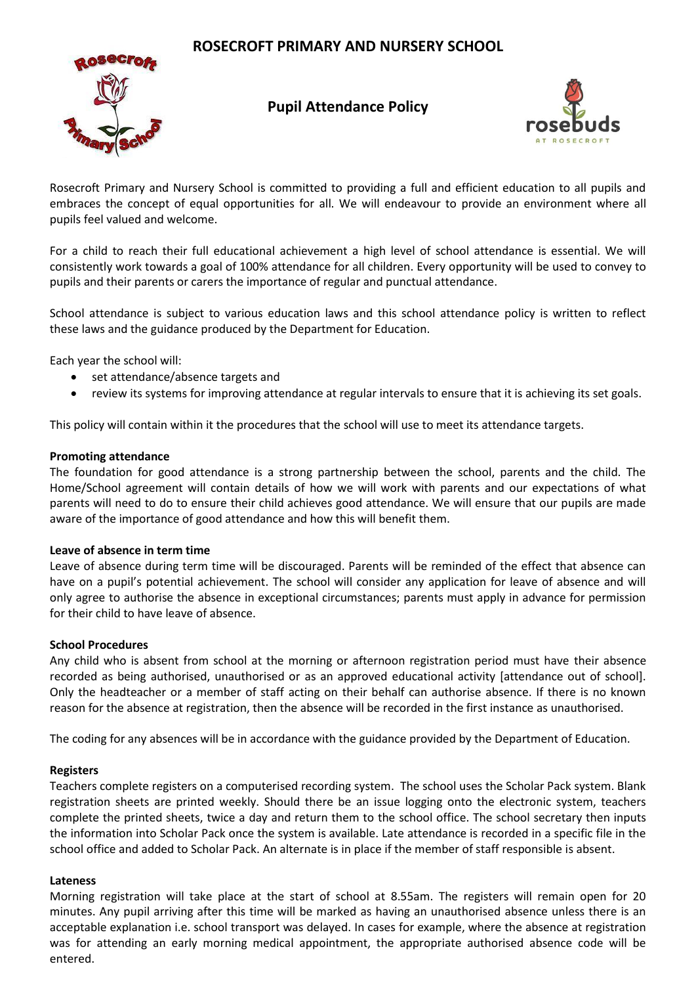# **ROSECROFT PRIMARY AND NURSERY SCHOOL**



# **Pupil Attendance Policy**



Rosecroft Primary and Nursery School is committed to providing a full and efficient education to all pupils and embraces the concept of equal opportunities for all. We will endeavour to provide an environment where all pupils feel valued and welcome.

For a child to reach their full educational achievement a high level of school attendance is essential. We will consistently work towards a goal of 100% attendance for all children. Every opportunity will be used to convey to pupils and their parents or carers the importance of regular and punctual attendance.

School attendance is subject to various education laws and this school attendance policy is written to reflect these laws and the guidance produced by the Department for Education.

Each year the school will:

- set attendance/absence targets and
- review its systems for improving attendance at regular intervals to ensure that it is achieving its set goals.

This policy will contain within it the procedures that the school will use to meet its attendance targets.

#### **Promoting attendance**

The foundation for good attendance is a strong partnership between the school, parents and the child. The Home/School agreement will contain details of how we will work with parents and our expectations of what parents will need to do to ensure their child achieves good attendance. We will ensure that our pupils are made aware of the importance of good attendance and how this will benefit them.

#### **Leave of absence in term time**

Leave of absence during term time will be discouraged. Parents will be reminded of the effect that absence can have on a pupil's potential achievement. The school will consider any application for leave of absence and will only agree to authorise the absence in exceptional circumstances; parents must apply in advance for permission for their child to have leave of absence.

#### **School Procedures**

Any child who is absent from school at the morning or afternoon registration period must have their absence recorded as being authorised, unauthorised or as an approved educational activity [attendance out of school]. Only the headteacher or a member of staff acting on their behalf can authorise absence. If there is no known reason for the absence at registration, then the absence will be recorded in the first instance as unauthorised.

The coding for any absences will be in accordance with the guidance provided by the Department of Education.

## **Registers**

Teachers complete registers on a computerised recording system. The school uses the Scholar Pack system. Blank registration sheets are printed weekly. Should there be an issue logging onto the electronic system, teachers complete the printed sheets, twice a day and return them to the school office. The school secretary then inputs the information into Scholar Pack once the system is available. Late attendance is recorded in a specific file in the school office and added to Scholar Pack. An alternate is in place if the member of staff responsible is absent.

## **Lateness**

Morning registration will take place at the start of school at 8.55am. The registers will remain open for 20 minutes. Any pupil arriving after this time will be marked as having an unauthorised absence unless there is an acceptable explanation i.e. school transport was delayed. In cases for example, where the absence at registration was for attending an early morning medical appointment, the appropriate authorised absence code will be entered.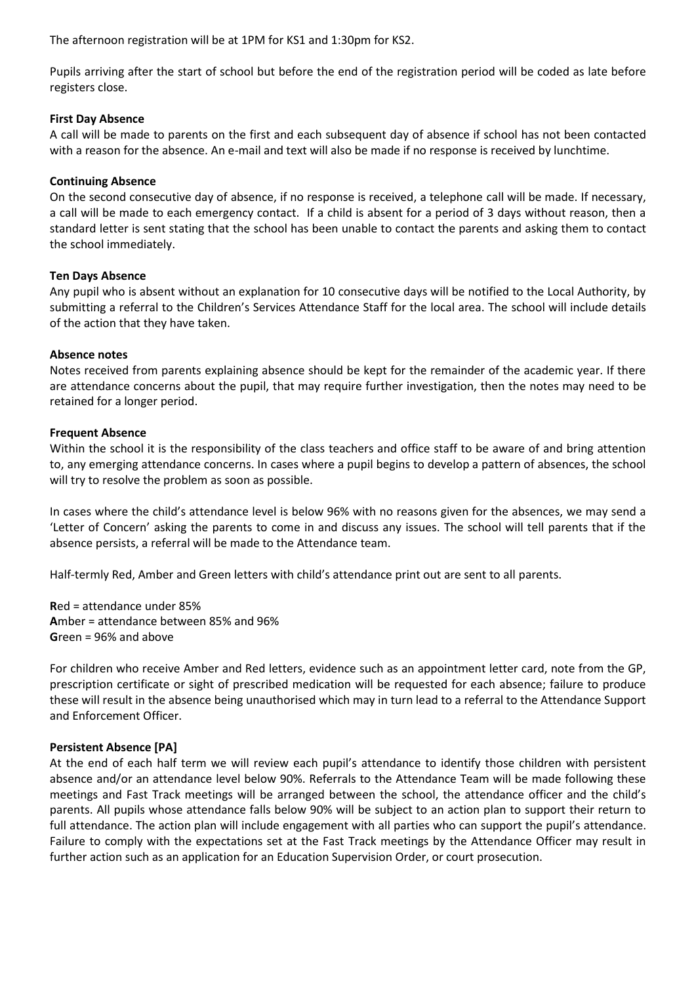The afternoon registration will be at 1PM for KS1 and 1:30pm for KS2.

Pupils arriving after the start of school but before the end of the registration period will be coded as late before registers close.

#### **First Day Absence**

A call will be made to parents on the first and each subsequent day of absence if school has not been contacted with a reason for the absence. An e-mail and text will also be made if no response is received by lunchtime.

#### **Continuing Absence**

On the second consecutive day of absence, if no response is received, a telephone call will be made. If necessary, a call will be made to each emergency contact. If a child is absent for a period of 3 days without reason, then a standard letter is sent stating that the school has been unable to contact the parents and asking them to contact the school immediately.

#### **Ten Days Absence**

Any pupil who is absent without an explanation for 10 consecutive days will be notified to the Local Authority, by submitting a referral to the Children's Services Attendance Staff for the local area. The school will include details of the action that they have taken.

#### **Absence notes**

Notes received from parents explaining absence should be kept for the remainder of the academic year. If there are attendance concerns about the pupil, that may require further investigation, then the notes may need to be retained for a longer period.

#### **Frequent Absence**

Within the school it is the responsibility of the class teachers and office staff to be aware of and bring attention to, any emerging attendance concerns. In cases where a pupil begins to develop a pattern of absences, the school will try to resolve the problem as soon as possible.

In cases where the child's attendance level is below 96% with no reasons given for the absences, we may send a 'Letter of Concern' asking the parents to come in and discuss any issues. The school will tell parents that if the absence persists, a referral will be made to the Attendance team.

Half-termly Red, Amber and Green letters with child's attendance print out are sent to all parents.

**R**ed = attendance under 85% **A**mber = attendance between 85% and 96% **G**reen = 96% and above

For children who receive Amber and Red letters, evidence such as an appointment letter card, note from the GP, prescription certificate or sight of prescribed medication will be requested for each absence; failure to produce these will result in the absence being unauthorised which may in turn lead to a referral to the Attendance Support and Enforcement Officer.

## **Persistent Absence [PA]**

At the end of each half term we will review each pupil's attendance to identify those children with persistent absence and/or an attendance level below 90%. Referrals to the Attendance Team will be made following these meetings and Fast Track meetings will be arranged between the school, the attendance officer and the child's parents. All pupils whose attendance falls below 90% will be subject to an action plan to support their return to full attendance. The action plan will include engagement with all parties who can support the pupil's attendance. Failure to comply with the expectations set at the Fast Track meetings by the Attendance Officer may result in further action such as an application for an Education Supervision Order, or court prosecution.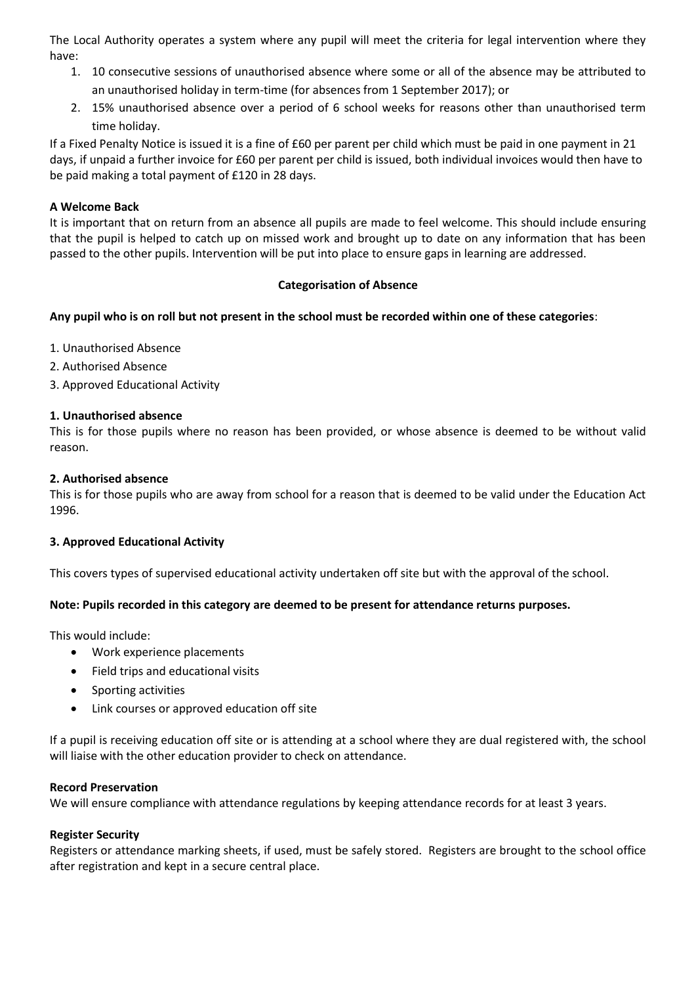The Local Authority operates a system where any pupil will meet the criteria for legal intervention where they have:

- 1. 10 consecutive sessions of unauthorised absence where some or all of the absence may be attributed to an unauthorised holiday in term-time (for absences from 1 September 2017); or
- 2. 15% unauthorised absence over a period of 6 school weeks for reasons other than unauthorised term time holiday.

If a Fixed Penalty Notice is issued it is a fine of £60 per parent per child which must be paid in one payment in 21 days, if unpaid a further invoice for £60 per parent per child is issued, both individual invoices would then have to be paid making a total payment of £120 in 28 days.

# **A Welcome Back**

It is important that on return from an absence all pupils are made to feel welcome. This should include ensuring that the pupil is helped to catch up on missed work and brought up to date on any information that has been passed to the other pupils. Intervention will be put into place to ensure gaps in learning are addressed.

## **Categorisation of Absence**

# **Any pupil who is on roll but not present in the school must be recorded within one of these categories**:

- 1. Unauthorised Absence
- 2. Authorised Absence
- 3. Approved Educational Activity

## **1. Unauthorised absence**

This is for those pupils where no reason has been provided, or whose absence is deemed to be without valid reason.

## **2. Authorised absence**

This is for those pupils who are away from school for a reason that is deemed to be valid under the Education Act 1996.

## **3. Approved Educational Activity**

This covers types of supervised educational activity undertaken off site but with the approval of the school.

## **Note: Pupils recorded in this category are deemed to be present for attendance returns purposes.**

This would include:

- Work experience placements
- Field trips and educational visits
- Sporting activities
- Link courses or approved education off site

If a pupil is receiving education off site or is attending at a school where they are dual registered with, the school will liaise with the other education provider to check on attendance.

## **Record Preservation**

We will ensure compliance with attendance regulations by keeping attendance records for at least 3 years.

## **Register Security**

Registers or attendance marking sheets, if used, must be safely stored. Registers are brought to the school office after registration and kept in a secure central place.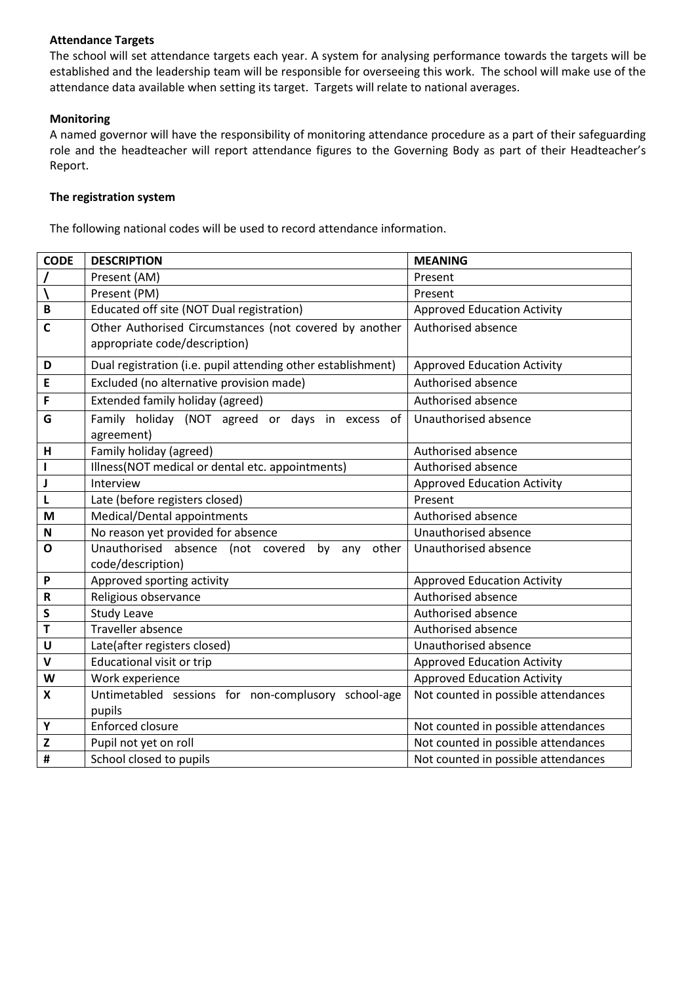## **Attendance Targets**

The school will set attendance targets each year. A system for analysing performance towards the targets will be established and the leadership team will be responsible for overseeing this work. The school will make use of the attendance data available when setting its target. Targets will relate to national averages.

# **Monitoring**

A named governor will have the responsibility of monitoring attendance procedure as a part of their safeguarding role and the headteacher will report attendance figures to the Governing Body as part of their Headteacher's Report.

## **The registration system**

The following national codes will be used to record attendance information.

| <b>CODE</b>               | <b>DESCRIPTION</b>                                           | <b>MEANING</b>                      |
|---------------------------|--------------------------------------------------------------|-------------------------------------|
|                           | Present (AM)                                                 | Present                             |
|                           | Present (PM)                                                 | Present                             |
| B                         | Educated off site (NOT Dual registration)                    | <b>Approved Education Activity</b>  |
| C                         | Other Authorised Circumstances (not covered by another       | Authorised absence                  |
|                           | appropriate code/description)                                |                                     |
| D                         | Dual registration (i.e. pupil attending other establishment) | <b>Approved Education Activity</b>  |
| E                         | Excluded (no alternative provision made)                     | Authorised absence                  |
| F                         | Extended family holiday (agreed)                             | Authorised absence                  |
| G                         | Family holiday (NOT agreed or days in excess<br>of           | Unauthorised absence                |
|                           | agreement)                                                   |                                     |
| Н                         | Family holiday (agreed)                                      | Authorised absence                  |
| L                         | Illness(NOT medical or dental etc. appointments)             | Authorised absence                  |
| J                         | Interview                                                    | <b>Approved Education Activity</b>  |
| Г                         | Late (before registers closed)                               | Present                             |
| M                         | Medical/Dental appointments                                  | Authorised absence                  |
| $\boldsymbol{\mathsf{N}}$ | No reason yet provided for absence                           | Unauthorised absence                |
| $\mathbf{o}$              | Unauthorised absence (not covered<br>by any<br>other         | Unauthorised absence                |
|                           | code/description)                                            |                                     |
| P                         | Approved sporting activity                                   | <b>Approved Education Activity</b>  |
| $\mathsf R$               | Religious observance                                         | Authorised absence                  |
| S                         | <b>Study Leave</b>                                           | Authorised absence                  |
| T                         | Traveller absence                                            | Authorised absence                  |
| U                         | Late(after registers closed)                                 | Unauthorised absence                |
| $\mathsf{V}$              | <b>Educational visit or trip</b>                             | <b>Approved Education Activity</b>  |
| W                         | Work experience                                              | <b>Approved Education Activity</b>  |
| X                         | Untimetabled sessions for non-complusory school-age          | Not counted in possible attendances |
|                           | pupils                                                       |                                     |
| Υ                         | <b>Enforced closure</b>                                      | Not counted in possible attendances |
| Z                         | Pupil not yet on roll                                        | Not counted in possible attendances |
| #                         | School closed to pupils                                      | Not counted in possible attendances |